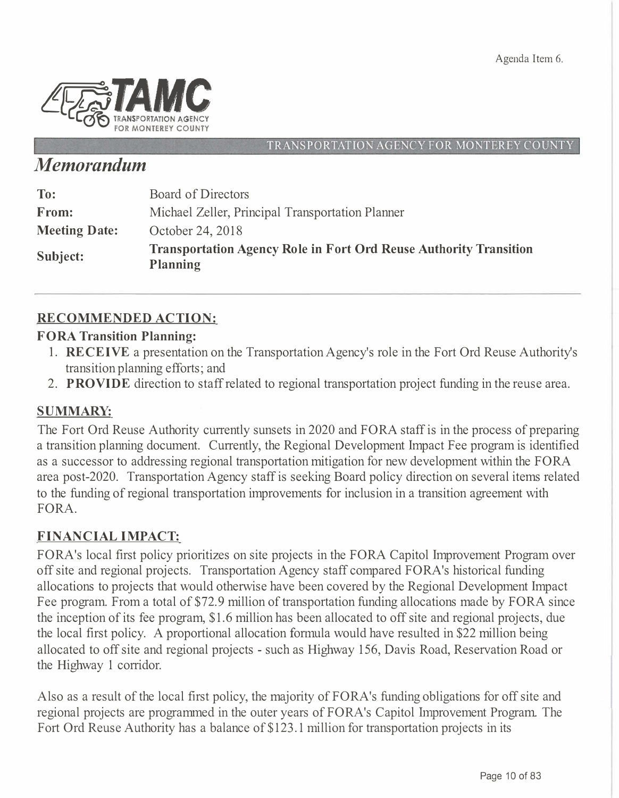Agenda Item 6.



TRANSPORTATION AGENCY FOR MONTEREY COUNTY

# *Memorandum*

| To:                  | Board of Directors                                                                   |
|----------------------|--------------------------------------------------------------------------------------|
| From:                | Michael Zeller, Principal Transportation Planner                                     |
| <b>Meeting Date:</b> | October 24, 2018                                                                     |
| Subject:             | <b>Transportation Agency Role in Fort Ord Reuse Authority Transition</b><br>Planning |

### **RECOMMENDED ACTION:**

#### **FORA Transition Planning:**

- **1. RECEIVE** a presentation on the Transportation Agency's role in the Fort Ord Reuse Authority's transition planning efforts; and
- 2. **PROVIDE** direction to staff related to regional transportation project funding in the reuse area.

### **SUMMARY:**

The Fort Ord Reuse Authority currently sunsets in 2020 and FORA staff is in the process of preparing a transition planning document. Currently, the Regional Development Impact Fee program is identified as a successor to addressing regional transportation mitigation for new development within the FORA area post-2020. Transportation Agency staff is seeking Board policy direction on several items related to the funding of regional transportation improvements for inclusion in a transition agreement with FORA.

### **FIN AN CIAL IMPACT:**

FORA's local first policy prioritizes on site projects in the FORA Capitol Improvement Program over off site and regional projects. Transportation Agency staff compared FORA's historical funding allocations to projects that would otherwise have been covered by the Regional Development Impact Fee program. From a total of \$72.9 million of transportation funding allocations made by FORA since the inception of its fee program, \$1.6 million has been allocated to off site and regional projects, due the local first policy. A proportional allocation formula would have resulted in \$22 million being allocated to off site and regional projects - such as Highway 156, Davis Road, Reservation Road or the Highway 1 corridor.

Also as a result of the local first policy, the majority of FORA's funding obligations for off site and regional projects are programmed in the outer years of FORA's Capitol Improvement Program. The Fort Ord Reuse Authority has a balance of \$123.1 million for transportation projects in its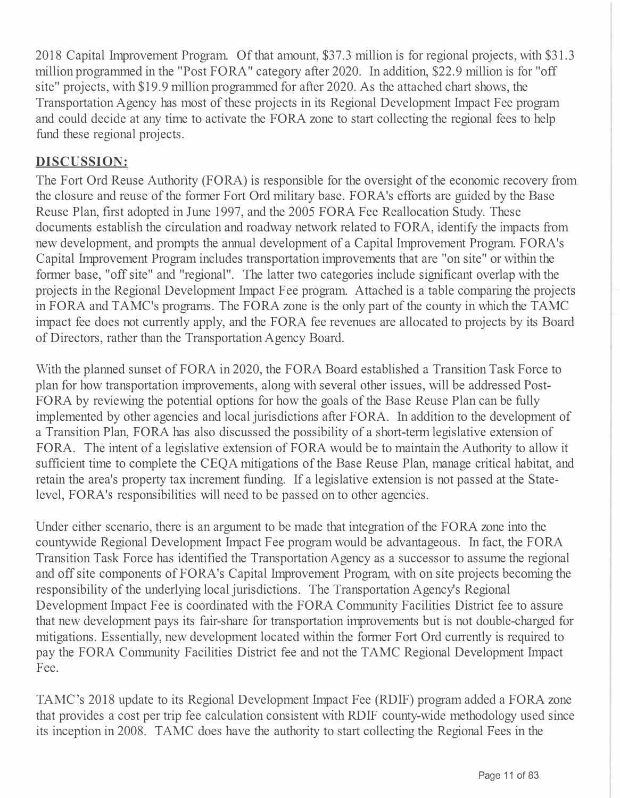2018 Capital Improvement Program. Of that amount, \$37.3 million is for regional projects, with \$31.3 million programmed in the "Post FORA" category after 2020. In addition, \$22.9 million is for "off site" projects, with \$19.9 million programmed for after 2020. As the attached chart shows, the Transportation Agency has most of these projects in its Regional Development Impact Fee program and could decide at any time to activate the FORA zone to start collecting the regional fees to help fund these regional projects.

## **DISCUSSION:**

The Fort Ord Reuse Authority (FORA) is responsible for the oversight of the economic recovery from the closure and reuse of the former Fort Ord military base. FORA's efforts are guided by the Base Reuse Plan, first adopted in June 1997, and the 2005 FORA Fee Reallocation Study. These documents establish the circulation and roadway network related to FORA, identify the impacts from new development, and prompts the annual development of a Capital Improvement Program FORA's Capital Improvement Program includes transportation improvements that are "on site" or within the former base, "off site" and "regional". The latter two categories include significant overlap with the projects in the Regional Development Impact Fee program. Attached is a table comparing the projects in FORA and TAMC's programs. The FORA zone is the only part of the county in which the TAMC impact fee does not currently apply, and the FORA fee revenues are allocated to projects by its Board of Directors, rather than the Transportation Agency Board.

With the planned sunset of FORA in 2020, the FORA Board established a Transition Task Force to plan for how transportation improvements, along with several other issues, will be addressed Post-FORA by reviewing the potential options for how the goals of the Base Reuse Plan can be fully implemented by other agencies and local jurisdictions after FORA. In addition to the development of a Transition Plan, FORA has also discussed the possibility of a short-term legislative extension of FORA. The intent of a legislative extension of FORA would be to maintain the Authority to allow it sufficient time to complete the CEQA mitigations of the Base Reuse Plan, manage critical habitat, and retain the area's property tax increment funding. If a legislative extension is not passed at the Statelevel, FORA's responsibilities will need to be passed on to other agencies.

Under either scenario, there is an argument to be made that integration of the FORA zone into the countywide Regional Development hnpact Fee program would be advantageous. In fact, the FORA Transition Task Force has identified the Transportation Agency as a successor to assume the regional and off site components of FORA's Capital Improvement Program, with on site projects becoming the responsibility of the underlying local jurisdictions. The Transportation Agency's Regional Development Impact Fee is coordinated with the FORA Community Facilities District fee to assure that new development pays its fair-share for transportation improvements but is not double-charged for mitigations. Essentially, new development located within the former Fort Ord currently is required to pay the FORA Community Facilities District fee and not the TAMC Regional Development Impact Fee.

TAMC's 2018 update to its Regional Development Impact Fee (RDIF) program added a FORA zone that provides a cost per trip fee calculation consistent with RDIF county-wide methodology used since its inception in 2008. TAMC does have the authority to start collecting the Regional Fees in the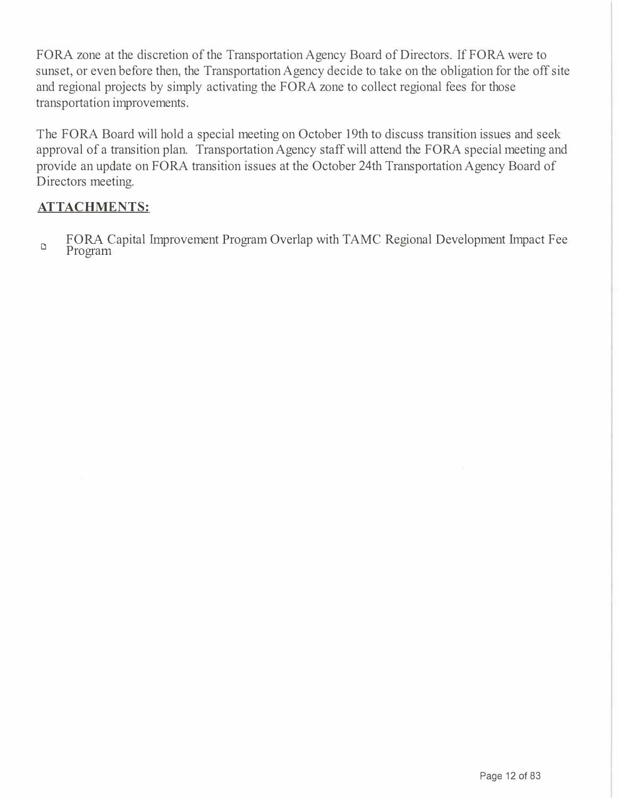FORA zone at the discretion of the Transportation Agency Board of Directors. If FORA were to sunset, or even before then, the Transportation Agency decide to take on the obligation for the off site and regional projects by simply activating the FORA zone to collect regional fees for those transportation improvements.

The FORA Board will hold a special meeting on October 19th to discuss transition issues and seek approval of a transition plan. Transportation Agency staff will attend the FORA special meeting and provide an update on FORA transition issues at the October 24th Transportation Agency Board of Directors meeting.

#### **ATTACHMENTS:**

FORA Capital Improvement Program Overlap with TAMC Regional Development Impact Fee Program